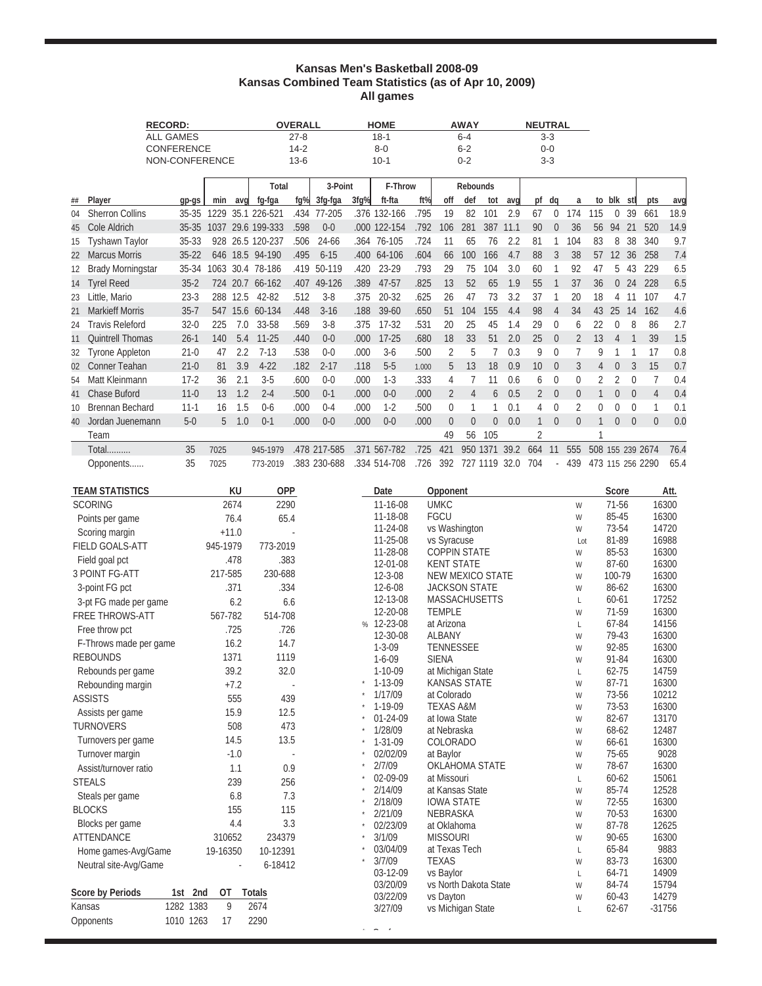### **Kansas Men's Basketball 2008-09 Kansas Combined Team Statistics (as of Apr 10, 2009) All games**

| <b>RECORD:</b> |                          | <b>OVERALL</b>    |             | <b>HOME</b> | <b>AWAY</b>  |          | <b>NEUTRAL</b> |      |              |       |                |                |                |               |                 |                |                |                  |                |                |                  |      |
|----------------|--------------------------|-------------------|-------------|-------------|--------------|----------|----------------|------|--------------|-------|----------------|----------------|----------------|---------------|-----------------|----------------|----------------|------------------|----------------|----------------|------------------|------|
|                |                          | <b>ALL GAMES</b>  |             |             |              | $27 - 8$ |                |      | $18 - 1$     |       |                | $6 - 4$        |                |               |                 | $3 - 3$        |                |                  |                |                |                  |      |
|                |                          | <b>CONFERENCE</b> |             |             |              | $14 - 2$ |                |      | $8 - 0$      |       |                | $6 - 2$        |                |               |                 | $0 - 0$        |                |                  |                |                |                  |      |
|                |                          | NON-CONFERENCE    |             |             |              | $13-6$   |                |      | $10 - 1$     |       |                | $0 - 2$        |                |               |                 | $3 - 3$        |                |                  |                |                |                  |      |
|                |                          |                   |             |             | Total        |          | 3-Point        |      | F-Throw      |       |                | Rebounds       |                |               |                 |                |                |                  |                |                |                  |      |
| ##             | Player                   | qp-qs             | min         | aval        | fg-fga       |          | $fq\%$ 3fg-fga | 3fq% | ft-fta       | ft%   | off            | def            | tot            | avd           | pf              | dq             | a              |                  | to blk stl     |                | pts              | avg  |
| 04             | <b>Sherron Collins</b>   | $35 - 35$         | 1229        |             | 35.1 226-521 | .434     | 77-205         |      | .376 132-166 | .795  | 19             | 82             | 101            | 2.9           | 67              | $\Omega$       | 174            | 115              | $\Omega$       | 39             | 661              | 18.9 |
| 45             | Cole Aldrich             | $35 - 35$         | 1037        |             | 29.6 199-333 | .598     | $0 - 0$        |      | .000 122-154 | .792  | 106            | 281            | 387            | 11.1          | 90              | $\overline{0}$ | 36             | 56               | 94             | 21             | 520              | 14.9 |
| 15             | <b>Tyshawn Taylor</b>    | 35-33             | 928         |             | 26.5 120-237 | .506     | 24-66          |      | .364 76-105  | .724  | 11             | 65             | 76             | 2.2           | 81              |                | 104            | 83               | 8              | 38             | 340              | 9.7  |
| 22             | <b>Marcus Morris</b>     | $35 - 22$         | 646         |             | 18.5 94-190  | .495     | $6 - 15$       |      | .400 64-106  | .604  | 66             | 100            | 166            | 4.7           | 88              | 3              | 38             | 57               | 12             | 36             | 258              | 7.4  |
| 12             | <b>Brady Morningstar</b> | 35-34             | 1063        |             | 30.4 78-186  | .419     | 50-119         | .420 | 23-29        | .793  | 29             | 75             | 104            | 3.0           | 60              |                | 92             | 47               | 5              | 43             | 229              | 6.5  |
|                | 14 Tyrel Reed            | $35 - 2$          | 724         | 20.7        | 66-162       | .407     | 49-126         | .389 | 47-57        | .825  | 13             | 52             | 65             | 1.9           | 55              |                | 37             | 36               | $\overline{0}$ | 24             | 228              | 6.5  |
| 23             | Little, Mario            | $23-3$            | 288         | 12.5        | 42-82        | .512     | $3 - 8$        | .375 | 20-32        | .625  | 26             | 47             | 73             | 3.2           | 37              |                | 20             | 18               | 4              | 11             | 107              | 4.7  |
| 21             | <b>Markieff Morris</b>   | $35 - 7$          | 547         |             | 15.6 60-134  | .448     | $3 - 16$       | .188 | 39-60        | .650  | 51             | 104            | 155            | 4.4           | 98              | $\overline{4}$ | 34             | 43               | 25             | 14             | 162              | 4.6  |
| 24             | <b>Travis Releford</b>   | $32 - 0$          | 225         | 7.0         | 33-58        | .569     | $3 - 8$        | .375 | $17 - 32$    | .531  | 20             | 25             | 45             | 1.4           | 29              | $\Omega$       | 6              | 22               | 0              | 8              | 86               | 2.7  |
| 11             | <b>Quintrell Thomas</b>  | $26-1$            | 140         | 5.4         | $11 - 25$    | .440     | $0 - 0$        | .000 | $17 - 25$    | .680  | 18             | 33             | 51             | 2.0           | 25              | $\overline{0}$ | $\overline{2}$ | 13               | $\Delta$       |                | 39               | 1.5  |
| 32             | Tyrone Appleton          | $21 - 0$          | 47          | 2.2         | $7 - 13$     | .538     | $0 - 0$        | .000 | $3-6$        | .500  | 2              | 5              | $\overline{7}$ | 0.3           | 9               | $\Omega$       |                | 9                |                |                | 17               | 0.8  |
| 02             | <b>Conner Teahan</b>     | $21 - 0$          | 81          | 3.9         | $4 - 22$     | .182     | $2 - 17$       | .118 | $5-5$        | 1.000 | 5              | 13             | 18             | 0.9           | 10 <sup>°</sup> | $\overline{0}$ | 3              | 4                | $\theta$       | 3              | 15               | 0.7  |
| 54             | Matt Kleinmann           | $17-2$            | 36          | 2.1         | $3 - 5$      | .600     | $0 - 0$        | .000 | $1-3$        | .333  | 4              |                | 11             | 0.6           | 6               | $\Omega$       | $\mathbf{0}$   | 2                | 2              | $\overline{0}$ |                  | 0.4  |
| 41             | Chase Buford             | $11 - 0$          | 13          | 1.2         | $2 - 4$      | .500     | $0 - 1$        | .000 | $0 - 0$      | .000  | $\overline{2}$ | $\overline{4}$ | 6              | 0.5           | $\overline{2}$  | $\Omega$       | $\Omega$       |                  | $\overline{0}$ | $\overline{0}$ | 4                | 0.4  |
| 10             | <b>Brennan Bechard</b>   | $11 - 1$          | 16          | 1.5         | $0 - 6$      | .000     | $0 - 4$        | .000 | $1-2$        | .500  | $\mathbf{0}$   |                |                | 0.1           | 4               | $\Omega$       | 2              | 0                | $\Omega$       | $\Omega$       |                  | 0.1  |
| 40             | Jordan Juenemann         | $5-0$             | $5^{\circ}$ | 1.0         | $0 - 1$      | .000     | $0 - 0$        | .000 | $0 - 0$      | .000  | $\overline{0}$ | $\overline{0}$ | $\overline{0}$ | 0.0           |                 | $\overline{0}$ | $\theta$       | 1                | $\overline{0}$ | $\mathbf{0}$   | $\Omega$         | 0.0  |
|                | Team                     |                   |             |             |              |          |                |      |              |       | 49             | 56             | 105            |               | $\mathfrak{p}$  |                |                |                  |                |                |                  |      |
|                | Total                    | 35                | 7025        |             | 945-1979     |          | .478 217-585   |      | .371 567-782 | .725  | 421            |                |                | 950 1371 39.2 | 664             | 11             | 555            | 508 155 239 2674 |                |                |                  | 76.4 |
|                | Opponents                | 35                | 7025        |             | 773-2019     |          | .383 230-688   |      | .334 514-708 | .726  | 392            |                | 727 1119 32.0  |               | 704             | $\sim$         | 439            |                  |                |                | 473 115 256 2290 | 65.4 |
|                |                          |                   |             |             |              |          |                |      |              |       |                |                |                |               |                 |                |                |                  |                |                |                  |      |
|                | <b>TEAM STATISTICS</b>   |                   |             | KU          | <b>OPP</b>   |          |                |      | Date         |       | Opponent       |                |                |               |                 |                |                |                  | Score          |                |                  | Att. |

| <b>ILAM STATISTICS</b>  | KU              | <b>OPP</b>    | Date                     | Opponent                                        |                   | Score           | Att.           |
|-------------------------|-----------------|---------------|--------------------------|-------------------------------------------------|-------------------|-----------------|----------------|
| <b>SCORING</b>          | 2674            | 2290          | 11-16-08                 | <b>UMKC</b>                                     | W                 | 71-56           | 16300          |
| Points per game         | 76.4            | 65.4          | 11-18-08                 | <b>FGCU</b>                                     | W                 | 85-45           | 16300          |
| Scoring margin          | $+11.0$         |               | 11-24-08                 | vs Washington                                   | W                 | 73-54           | 14720          |
| <b>FIELD GOALS-ATT</b>  | 945-1979        | 773-2019      | 11-25-08                 | vs Syracuse                                     | Lot               | 81-89           | 16988          |
| Field goal pct          | .478            | .383          | 11-28-08                 | <b>COPPIN STATE</b>                             | W                 | 85-53           | 16300          |
| <b>3 POINT FG-ATT</b>   | 217-585         | 230-688       | 12-01-08                 | <b>KENT STATE</b>                               | W                 | 87-60           | 16300          |
|                         | .371            | .334          | $12 - 3 - 08$<br>12-6-08 | <b>NEW MEXICO STATE</b><br><b>JACKSON STATE</b> | W                 | 100-79<br>86-62 | 16300<br>16300 |
| 3-point FG pct          |                 |               | 12-13-08                 | <b>MASSACHUSETTS</b>                            | W<br>$\mathsf{L}$ | $60 - 61$       | 17252          |
| 3-pt FG made per game   | 6.2             | 6.6           | 12-20-08                 | <b>TEMPLE</b>                                   | W                 | 71-59           | 16300          |
| <b>FREE THROWS-ATT</b>  | 567-782         | 514-708       | % 12-23-08               | at Arizona                                      | $\mathsf{L}$      | 67-84           | 14156          |
| Free throw pct          | .725            | .726          | 12-30-08                 | <b>ALBANY</b>                                   | W                 | 79-43           | 16300          |
| F-Throws made per game  | 16.2            | 14.7          | $1 - 3 - 09$             | TENNESSEE                                       | W                 | 92-85           | 16300          |
| <b>REBOUNDS</b>         | 1371            | 1119          | $1 - 6 - 09$             | <b>SIENA</b>                                    | W                 | 91-84           | 16300          |
| Rebounds per game       | 39.2            | 32.0          | $1 - 10 - 09$            | at Michigan State                               | L                 | 62-75           | 14759          |
| Rebounding margin       | $+7.2$          |               | $1 - 13 - 09$            | <b>KANSAS STATE</b>                             | W                 | 87-71           | 16300          |
| <b>ASSISTS</b>          | 555             | 439           | 1/17/09                  | at Colorado                                     | W                 | 73-56           | 10212          |
| Assists per game        | 15.9            | 12.5          | $1-19-09$                | <b>TEXAS A&amp;M</b>                            | W                 | 73-53           | 16300          |
| <b>TURNOVERS</b>        | 508             | 473           | 01-24-09                 | at Iowa State                                   | W                 | 82-67           | 13170          |
|                         | 14.5            | 13.5          | 1/28/09                  | at Nebraska                                     | W                 | 68-62           | 12487          |
| Turnovers per game      |                 |               | $1 - 31 - 09$            | <b>COLORADO</b>                                 | W                 | 66-61           | 16300          |
| Turnover margin         | $-1.0$          |               | 02/02/09<br>2/7/09       | at Baylor<br><b>OKLAHOMA STATE</b>              | W                 | 75-65<br>78-67  | 9028<br>16300  |
| Assist/turnover ratio   | 1.1             | 0.9           | 02-09-09                 | at Missouri                                     | W                 | $60 - 62$       | 15061          |
| <b>STEALS</b>           | 239             | 256           | 2/14/09                  | at Kansas State                                 | L<br>W            | 85-74           | 12528          |
| Steals per game         | 6.8             | 7.3           | 2/18/09                  | <b>IOWA STATE</b>                               | W                 | 72-55           | 16300          |
| <b>BLOCKS</b>           | 155             | 115           | 2/21/09                  | <b>NEBRASKA</b>                                 | W                 | 70-53           | 16300          |
| Blocks per game         | 4.4             | 3.3           | 02/23/09                 | at Oklahoma                                     | W                 | 87-78           | 12625          |
| <b>ATTENDANCE</b>       | 310652          | 234379        | 3/1/09                   | <b>MISSOURI</b>                                 | W                 | $90 - 65$       | 16300          |
| Home games-Avg/Game     | 19-16350        | 10-12391      | 03/04/09                 | at Texas Tech                                   | L                 | 65-84           | 9883           |
| Neutral site-Avg/Game   |                 | 6-18412       | 3/7/09                   | <b>TEXAS</b>                                    | W                 | 83-73           | 16300          |
|                         |                 |               | 03-12-09                 | vs Baylor                                       | L                 | 64-71           | 14909          |
|                         |                 |               | 03/20/09                 | vs North Dakota State                           | W                 | 84-74           | 15794          |
| <b>Score by Periods</b> | 1st 2nd<br>0T   | <b>Totals</b> | 03/22/09                 | vs Dayton                                       | W                 | 60-43           | 14279          |
| Kansas                  | 1282 1383<br>9  | 2674          | 3/27/09                  | vs Michigan State                               | L                 | $62 - 67$       | $-31756$       |
| Opponents               | 1010 1263<br>17 | 2290          | $\widehat{\phantom{m}}$  |                                                 |                   |                 |                |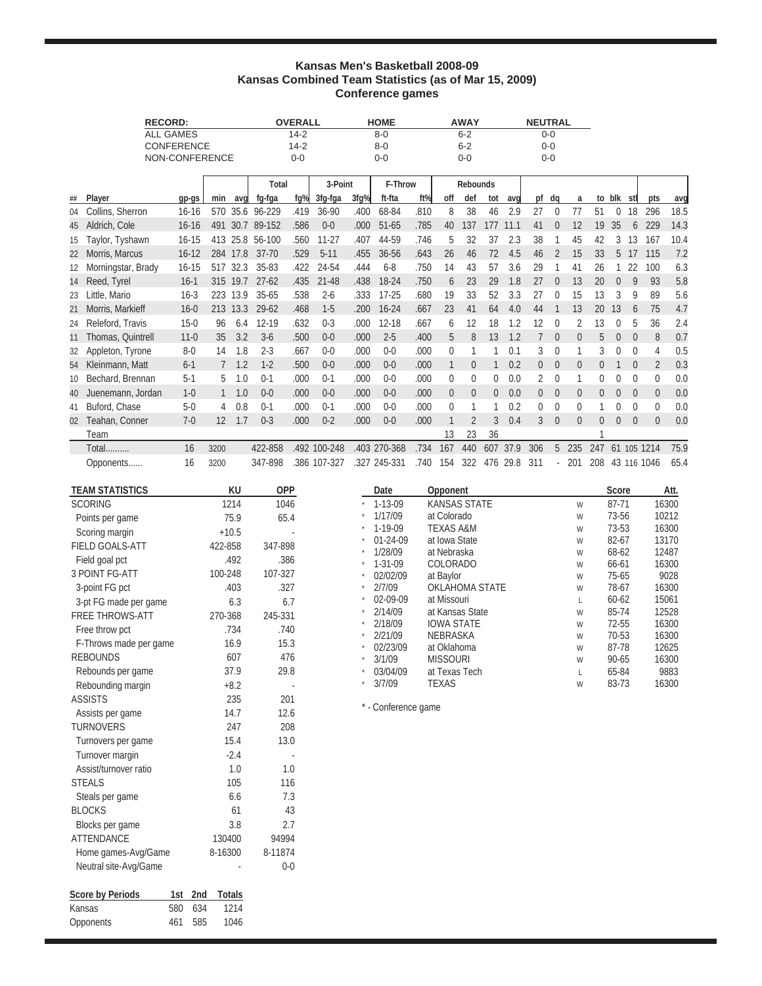### **Kansas Men's Basketball 2008-09 Kansas Combined Team Statistics (as of Mar 15, 2009) Conference games**

|    |                    | <b>RECORD:</b>    |      |          |                 | <b>OVERALL</b> |              |      | <b>HOME</b>  |      |                | <b>AWAY</b>     |                |      | <b>NEUTRAL</b> |              |          |                |                |             |                |      |
|----|--------------------|-------------------|------|----------|-----------------|----------------|--------------|------|--------------|------|----------------|-----------------|----------------|------|----------------|--------------|----------|----------------|----------------|-------------|----------------|------|
|    |                    | <b>ALL GAMES</b>  |      |          |                 | $14 - 2$       |              |      | $8 - 0$      |      |                | $6 - 2$         |                |      |                | $0 - 0$      |          |                |                |             |                |      |
|    |                    | <b>CONFERENCE</b> |      |          |                 | $14 - 2$       |              |      | $8 - 0$      |      |                | $6 - 2$         |                |      |                | $0 - 0$      |          |                |                |             |                |      |
|    |                    | NON-CONFERENCE    |      |          |                 | $0 - 0$        |              |      | $0 - 0$      |      |                | $0 - 0$         |                |      |                | $0 - 0$      |          |                |                |             |                |      |
|    |                    |                   |      |          | Total           |                | 3-Point      |      | F-Throw      |      |                | <b>Rebounds</b> |                |      |                |              |          |                |                |             |                |      |
| ## | Player             | qp-qs             | min  | avq      | fg-fga          | fq%            | 3fg-fga      | 3fq% | ft-fta       | ft%  | off            | def             | tot            | avg  | pf             | dq           | a        | to             | blk stl        |             | pts            | avg  |
| 04 | Collins, Sherron   | $16 - 16$         | 570  |          | 35.6 96-229     | .419           | 36-90        | .400 | 68-84        | .810 | 8              | 38              | 46             | 2.9  | 27             | $\theta$     | 77       | 51             | $\theta$       | 18          | 296            | 18.5 |
| 45 | Aldrich, Cole      | $16 - 16$         | 491  | 30.7     | 89-152          | .586           | $0 - 0$      | .000 | 51-65        | .785 | 40             | 137             | 177            | 11.1 | 41             | $\Omega$     | 12       | 19             | 35             | 6           | 229            | 14.3 |
| 15 | Taylor, Tyshawn    | $16 - 15$         |      |          | 413 25.8 56-100 | .560           | $11 - 27$    | .407 | 44-59        | .746 | 5              | 32              | 37             | 2.3  | 38             |              | 45       | 42             | 3              | 13          | 167            | 10.4 |
| 22 | Morris, Marcus     | $16 - 12$         | 284  | 17.8     | $37 - 70$       | .529           | $5 - 11$     | .455 | 36-56        | .643 | 26             | 46              | 72             | 4.5  | 46             | 2            | 15       | 33             | 5              | 17          | 115            | 7.2  |
| 12 | Morningstar, Brady | $16 - 15$         | 517  | 32.3     | 35-83           | .422           | 24-54        | .444 | $6 - 8$      | .750 | 14             | 43              | 57             | 3.6  | 29             |              | 41       | 26             |                | 22          | 100            | 6.3  |
| 14 | Reed, Tyrel        | $16-1$            | 315  | 19.7     | $27 - 62$       | .435           | $21 - 48$    | .438 | 18-24        | .750 | 6              | 23              | 29             | 1.8  | 27             | $\Omega$     | 13       | 20             | $\Omega$       | 9           | 93             | 5.8  |
| 23 | Little, Mario      | $16-3$            | 223  | 13.9     | $35 - 65$       | .538           | $2 - 6$      | .333 | $17 - 25$    | .680 | 19             | 33              | 52             | 3.3  | 27             | $\Omega$     | 15       | 13             | 3              | 9           | 89             | 5.6  |
| 21 | Morris, Markieff   | $16 - 0$          |      | 213 13.3 | $29 - 62$       | .468           | $1-5$        | .200 | $16 - 24$    | .667 | 23             | 41              | 64             | 4.0  | 44             |              | 13       | 20             | 13             | 6           | 75             | 4.7  |
| 24 | Releford, Travis   | $15 - 0$          | 96   | 6.4      | 12-19           | .632           | $0 - 3$      | .000 | $12 - 18$    | .667 | 6              | 12              | 18             | 1.2  | 12             | $\Omega$     | 2        | 13             | 0              | 5           | 36             | 2.4  |
| 11 | Thomas, Quintrell  | $11 - 0$          | 35   | 3.2      | $3-6$           | .500           | $0 - 0$      | .000 | $2 - 5$      | .400 | 5              | 8               | 13             | 1.2  | $\overline{7}$ | $\theta$     | $\theta$ | 5              | $\overline{0}$ | $\theta$    | 8              | 0.7  |
| 32 | Appleton, Tyrone   | $8-0$             | 14   | 1.8      | $2 - 3$         | .667           | $0 - 0$      | .000 | $0 - 0$      | .000 | 0              |                 |                | 0.1  | 3              | $\theta$     |          | 3              |                | 0           | 4              | 0.5  |
| 54 | Kleinmann, Matt    | $6 - 1$           |      | 1.2      | $1 - 2$         | .500           | $0 - 0$      | .000 | $0 - 0$      | .000 | 1              | $\theta$        |                | 0.2  | $\overline{0}$ | $\theta$     | $\theta$ | 0              |                | $\theta$    | $\overline{2}$ | 0.3  |
| 10 | Bechard, Brennan   | $5-1$             | 5    | 1.0      | $0-1$           | .000           | $0 - 1$      | .000 | $0 - 0$      | .000 | 0              | 0               | 0              | 0.0  | 2              | $\mathbf{0}$ |          | 0              | 0              | $\mathbf 0$ | $\Omega$       | 0.0  |
| 40 | Juenemann, Jordan  | $1 - 0$           |      | 1.0      | $0 - 0$         | .000           | $0 - 0$      | .000 | $0 - 0$      | .000 | $\overline{0}$ | $\overline{0}$  | $\overline{0}$ | 0.0  | $\overline{0}$ | $\theta$     | $\theta$ | $\overline{0}$ | $\overline{0}$ | $\theta$    | $\overline{0}$ | 0.0  |
| 41 | Buford, Chase      | $5-0$             | 4    | 0.8      | $0-1$           | .000           | $0-1$        | .000 | $0 - 0$      | .000 | 0              |                 |                | 0.2  | $\Omega$       | $\theta$     | 0        |                | 0              | $\Omega$    | $\Omega$       | 0.0  |
| 02 | Teahan, Conner     | $7-0$             | 12   | 1.7      | $0 - 3$         | .000           | $0 - 2$      | .000 | $0 - 0$      | .000 |                | $\overline{2}$  | 3              | 0.4  | 3              | $\theta$     | $\theta$ | 0              | 0              | $\theta$    | $\Omega$       | 0.0  |
|    | Team               |                   |      |          |                 |                |              |      |              |      | 13             | 23              | 36             |      |                |              |          |                |                |             |                |      |
|    | <b>Total</b>       | 16                | 3200 |          | 422-858         |                | .492 100-248 |      | .403 270-368 | .734 | 167            | 440             | 607            | 37.9 | 306            | 5            | 235      | 247            |                |             | 61 105 1214    | 75.9 |
|    | Opponents          | 16                | 3200 |          | 347-898         |                | .386 107-327 | .327 | 245-331      | .740 | 154            | 322             | 476            | 29.8 | 311            |              | 201      | 208            |                |             | 43 116 1046    | 65.4 |

| <b>TEAM STATISTICS</b>  |            | KU            | <b>OPP</b>               | Date                     | Opponent                       |              | Score              | Att.           |
|-------------------------|------------|---------------|--------------------------|--------------------------|--------------------------------|--------------|--------------------|----------------|
| <b>SCORING</b>          |            | 1214          | 1046                     | $1 - 13 - 09$            | <b>KANSAS STATE</b>            | W            | 87-71              | 16300          |
| Points per game         |            | 75.9          | 65.4                     | 1/17/09                  | at Colorado                    | W            | 73-56              | 10212          |
| Scoring margin          |            | $+10.5$       |                          | 1-19-09                  | <b>TEXAS A&amp;M</b>           | W            | 73-53              | 16300          |
| <b>FIELD GOALS-ATT</b>  |            | 422-858       | 347-898                  | 01-24-09                 | at Iowa State                  | W            | 82-67              | 13170          |
| Field goal pct          |            | .492          | .386                     | 1/28/09<br>$1 - 31 - 09$ | at Nebraska<br><b>COLORADO</b> | W<br>W       | 68-62<br>66-61     | 12487<br>16300 |
| <b>3 POINT FG-ATT</b>   |            | 100-248       | 107-327                  | 02/02/09                 | at Baylor                      | W            | $75 - 65$          | 9028           |
| 3-point FG pct          |            | .403          | .327                     | 2/7/09                   | <b>OKLAHOMA STATE</b>          | W            | 78-67              | 16300          |
| 3-pt FG made per game   |            | 6.3           | 6.7                      | 02-09-09                 | at Missouri                    | L            | $60 - 62$          | 15061          |
| <b>FREE THROWS-ATT</b>  |            | 270-368       | 245-331                  | 2/14/09                  | at Kansas State                | W            | 85-74              | 12528          |
| Free throw pct          |            | .734          | .740                     | 2/18/09                  | <b>IOWA STATE</b>              | W            | 72-55              | 16300          |
| F-Throws made per game  |            | 16.9          | 15.3                     | 2/21/09                  | NEBRASKA                       | W            | 70-53              | 16300          |
| <b>REBOUNDS</b>         |            | 607           | 476                      | 02/23/09<br>3/1/09       | at Oklahoma<br><b>MISSOURI</b> | W<br>W       | 87-78<br>$90 - 65$ | 12625<br>16300 |
| Rebounds per game       |            | 37.9          | 29.8                     | 03/04/09                 | at Texas Tech                  | $\mathsf{L}$ | 65-84              | 9883           |
| Rebounding margin       |            | $+8.2$        |                          | 3/7/09                   | <b>TEXAS</b>                   | W            | 83-73              | 16300          |
| <b>ASSISTS</b>          |            | 235           | 201                      |                          |                                |              |                    |                |
| Assists per game        |            | 14.7          | 12.6                     | * - Conference game      |                                |              |                    |                |
| <b>TURNOVERS</b>        |            | 247           | 208                      |                          |                                |              |                    |                |
| Turnovers per game      |            | 15.4          | 13.0                     |                          |                                |              |                    |                |
| Turnover margin         |            | $-2.4$        | $\overline{\phantom{a}}$ |                          |                                |              |                    |                |
| Assist/turnover ratio   |            | 1.0           | 1.0                      |                          |                                |              |                    |                |
| <b>STEALS</b>           |            | 105           | 116                      |                          |                                |              |                    |                |
| Steals per game         |            | 6.6           | 7.3                      |                          |                                |              |                    |                |
| <b>BLOCKS</b>           |            | 61            | 43                       |                          |                                |              |                    |                |
| Blocks per game         |            | 3.8           | 2.7                      |                          |                                |              |                    |                |
| <b>ATTENDANCE</b>       |            | 130400        | 94994                    |                          |                                |              |                    |                |
| Home games-Avg/Game     |            | 8-16300       | 8-11874                  |                          |                                |              |                    |                |
| Neutral site-Avg/Game   |            |               | $0 - 0$                  |                          |                                |              |                    |                |
|                         |            |               |                          |                          |                                |              |                    |                |
| <b>Score by Periods</b> | 2nd<br>1st | <b>Totals</b> |                          |                          |                                |              |                    |                |
| Kansas<br>580           | 634        | 1214          |                          |                          |                                |              |                    |                |
| 461<br>Opponents        | 585        | 1046          |                          |                          |                                |              |                    |                |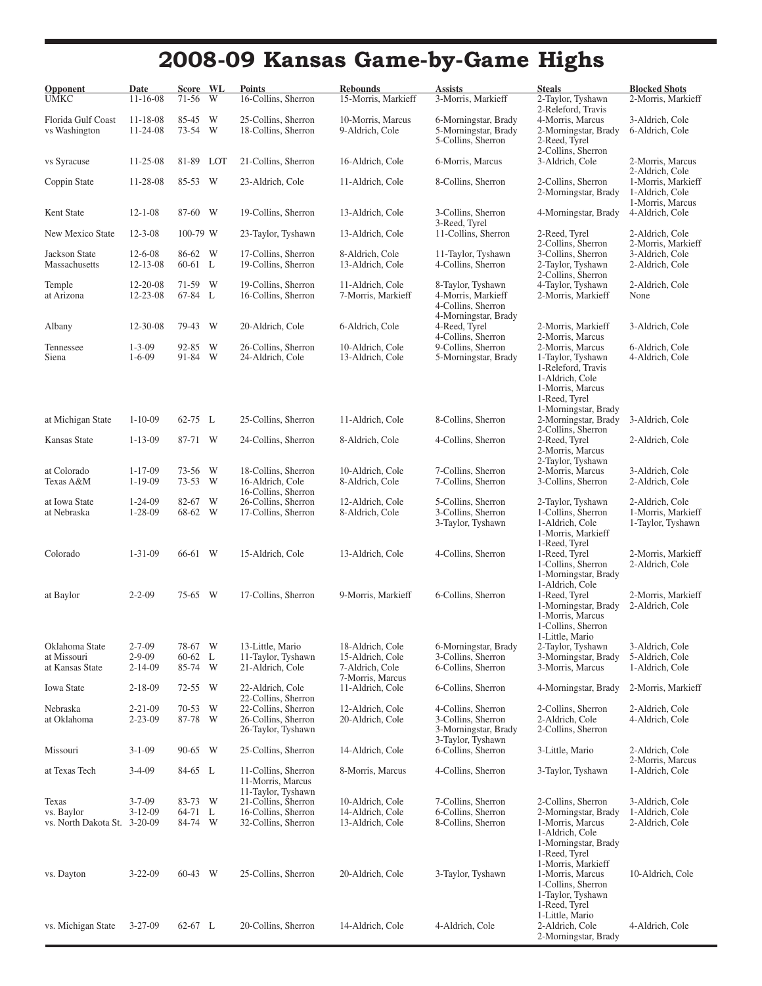# **2008-09 Kansas Game-by-Game Highs**

| Opponent<br><b>UMKC</b>                    | Date<br>$11 - 16 - 08$           | Score WL<br>71-56    | W      | <b>Points</b><br>16-Collins, Sherron                             | <b>Rebounds</b><br>15-Morris, Markieff                  | <b>Assists</b><br>3-Morris, Markieff                               | <b>Steals</b><br>2-Taylor, Tyshawn                                                                                         | <b>Blocked Shots</b><br>2-Morris, Markieff                                   |
|--------------------------------------------|----------------------------------|----------------------|--------|------------------------------------------------------------------|---------------------------------------------------------|--------------------------------------------------------------------|----------------------------------------------------------------------------------------------------------------------------|------------------------------------------------------------------------------|
| Florida Gulf Coast<br>vs Washington        | $11 - 18 - 08$<br>$11 - 24 - 08$ | 85-45<br>73-54       | W<br>W | 25-Collins, Sherron<br>18-Collins, Sherron                       | 10-Morris, Marcus<br>9-Aldrich, Cole                    | 6-Morningstar, Brady<br>5-Morningstar, Brady<br>5-Collins, Sherron | 2-Releford, Travis<br>4-Morris, Marcus<br>2-Morningstar, Brady<br>2-Reed, Tyrel                                            | 3-Aldrich, Cole<br>6-Aldrich, Cole                                           |
| vs Syracuse                                | $11 - 25 - 08$                   | 81-89 LOT            |        | 21-Collins, Sherron                                              | 16-Aldrich, Cole                                        | 6-Morris, Marcus                                                   | 2-Collins, Sherron<br>3-Aldrich, Cole                                                                                      | 2-Morris, Marcus                                                             |
| Coppin State                               | 11-28-08                         | 85-53 W              |        | 23-Aldrich, Cole                                                 | 11-Aldrich, Cole                                        | 8-Collins, Sherron                                                 | 2-Collins, Sherron<br>2-Morningstar, Brady                                                                                 | 2-Aldrich, Cole<br>1-Morris, Markieff<br>1-Aldrich, Cole<br>1-Morris, Marcus |
| Kent State                                 | $12 - 1 - 08$                    | 87-60 W              |        | 19-Collins, Sherron                                              | 13-Aldrich, Cole                                        | 3-Collins, Sherron                                                 | 4-Morningstar, Brady                                                                                                       | 4-Aldrich, Cole                                                              |
| New Mexico State                           | $12 - 3 - 08$                    | 100-79 W             |        | 23-Taylor, Tyshawn                                               | 13-Aldrich, Cole                                        | 3-Reed, Tyrel<br>11-Collins, Sherron                               | 2-Reed, Tyrel<br>2-Collins, Sherron                                                                                        | 2-Aldrich, Cole<br>2-Morris, Markieff                                        |
| Jackson State<br>Massachusetts             | $12 - 6 - 08$<br>$12 - 13 - 08$  | 86-62 W<br>$60-61$ L |        | 17-Collins, Sherron<br>19-Collins, Sherron                       | 8-Aldrich, Cole<br>13-Aldrich, Cole                     | 11-Taylor, Tyshawn<br>4-Collins, Sherron                           | 3-Collins, Sherron<br>2-Taylor, Tyshawn<br>2-Collins, Sherron                                                              | 3-Aldrich, Cole<br>2-Aldrich, Cole                                           |
| Temple<br>at Arizona                       | 12-20-08<br>$12 - 23 - 08$       | 71-59 W<br>67-84 L   |        | 19-Collins, Sherron<br>16-Collins, Sherron                       | 11-Aldrich, Cole<br>7-Morris, Markieff                  | 8-Taylor, Tyshawn<br>4-Morris, Markieff<br>4-Collins, Sherron      | 4-Taylor, Tyshawn<br>2-Morris, Markieff                                                                                    | 2-Aldrich, Cole<br>None                                                      |
| Albany                                     | 12-30-08                         | 79-43 W              |        | 20-Aldrich, Cole                                                 | 6-Aldrich, Cole                                         | 4-Morningstar, Brady<br>4-Reed, Tyrel<br>4-Collins, Sherron        | 2-Morris, Markieff<br>2-Morris, Marcus                                                                                     | 3-Aldrich, Cole                                                              |
| Tennessee<br>Siena                         | $1 - 3 - 09$<br>$1 - 6 - 09$     | 92-85<br>91-84 W     | W      | 26-Collins, Sherron<br>24-Aldrich, Cole                          | 10-Aldrich, Cole<br>13-Aldrich, Cole                    | 9-Collins, Sherron<br>5-Morningstar, Brady                         | 2-Morris, Marcus<br>1-Taylor, Tyshawn<br>1-Releford, Travis<br>1-Aldrich, Cole<br>1-Morris, Marcus<br>1-Reed, Tyrel        | 6-Aldrich, Cole<br>4-Aldrich, Cole                                           |
| at Michigan State                          | $1 - 10 - 09$                    | 62-75 L              |        | 25-Collins, Sherron                                              | 11-Aldrich, Cole                                        | 8-Collins, Sherron                                                 | 1-Morningstar, Brady<br>2-Morningstar, Brady                                                                               | 3-Aldrich, Cole                                                              |
| Kansas State                               | $1 - 13 - 09$                    | 87-71 W              |        | 24-Collins, Sherron                                              | 8-Aldrich, Cole                                         | 4-Collins, Sherron                                                 | 2-Collins, Sherron<br>2-Reed, Tyrel<br>2-Morris, Marcus<br>2-Taylor, Tyshawn                                               | 2-Aldrich, Cole                                                              |
| at Colorado<br>Texas A&M                   | $1 - 17 - 09$<br>$1 - 19 - 09$   | 73-56<br>73-53       | W<br>W | 18-Collins, Sherron<br>16-Aldrich, Cole<br>16-Collins, Sherron   | 10-Aldrich, Cole<br>8-Aldrich, Cole                     | 7-Collins, Sherron<br>7-Collins, Sherron                           | 2-Morris, Marcus<br>3-Collins, Sherron                                                                                     | 3-Aldrich, Cole<br>2-Aldrich, Cole                                           |
| at Iowa State<br>at Nebraska               | $1 - 24 - 09$<br>$1 - 28 - 09$   | 82-67<br>68-62 W     | W      | 26-Collins, Sherron<br>17-Collins, Sherron                       | 12-Aldrich, Cole<br>8-Aldrich, Cole                     | 5-Collins, Sherron<br>3-Collins, Sherron<br>3-Taylor, Tyshawn      | 2-Taylor, Tyshawn<br>1-Collins, Sherron<br>1-Aldrich, Cole<br>1-Morris, Markieff                                           | 2-Aldrich, Cole<br>1-Morris, Markieff<br>1-Taylor, Tyshawn                   |
| Colorado                                   | $1 - 31 - 09$                    | 66-61 W              |        | 15-Aldrich, Cole                                                 | 13-Aldrich, Cole                                        | 4-Collins, Sherron                                                 | 1-Reed, Tyrel<br>1-Reed, Tyrel<br>1-Collins, Sherron<br>1-Morningstar, Brady<br>1-Aldrich, Cole                            | 2-Morris, Markieff<br>2-Aldrich, Cole                                        |
| at Baylor                                  | $2 - 2 - 09$                     | 75-65 W              |        | 17-Collins, Sherron                                              | 9-Morris, Markieff                                      | 6-Collins, Sherron                                                 | 1-Reed, Tyrel<br>1-Morningstar, Brady<br>1-Morris, Marcus<br>1-Collins, Sherron<br>1-Little, Mario                         | 2-Morris, Markieff<br>2-Aldrich, Cole                                        |
| Oklahoma State                             | $2 - 7 - 09$                     | 78-67 W              |        | 13-Little, Mario                                                 | 18-Aldrich, Cole                                        | 6-Morningstar, Brady<br>3-Collins, Sherron                         | 2-Taylor, Tyshawn                                                                                                          | 3-Aldrich, Cole                                                              |
| at Missouri<br>at Kansas State             | $2 - 9 - 09$<br>2-14-09          | 60-62 L<br>85-74     | W      | 11-Taylor, Tyshawn<br>21-Aldrich, Cole                           | 15-Aldrich, Cole<br>7-Aldrich, Cole<br>7-Morris, Marcus | 6-Collins, Sherron                                                 | 3-Morningstar, Brady<br>3-Morris, Marcus                                                                                   | 5-Aldrich, Cole<br>1-Aldrich, Cole                                           |
| <b>Iowa State</b>                          | $2 - 18 - 09$                    | 72-55                | W      | 22-Aldrich, Cole<br>22-Collins, Sherron                          | 11-Aldrich, Cole                                        | 6-Collins, Sherron                                                 | 4-Morningstar, Brady                                                                                                       | 2-Morris, Markieff                                                           |
| Nebraska<br>at Oklahoma                    | 2-21-09<br>$2 - 23 - 09$         | 70-53 W<br>87-78 W   |        | 22-Collins, Sherron<br>26-Collins, Sherron<br>26-Taylor, Tyshawn | 12-Aldrich, Cole<br>20-Aldrich, Cole                    | 4-Collins, Sherron<br>3-Collins, Sherron<br>3-Morningstar, Brady   | 2-Collins, Sherron<br>2-Aldrich, Cole<br>2-Collins, Sherron                                                                | 2-Aldrich, Cole<br>4-Aldrich, Cole                                           |
| Missouri                                   | $3 - 1 - 09$                     | 90-65                | W      | 25-Collins, Sherron                                              | 14-Aldrich, Cole                                        | 3-Taylor, Tyshawn<br>6-Collins, Sherron                            | 3-Little, Mario                                                                                                            | 2-Aldrich, Cole                                                              |
| at Texas Tech                              | $3-4-09$                         | 84-65 L              |        | 11-Collins, Sherron<br>11-Morris, Marcus<br>11-Taylor, Tyshawn   | 8-Morris, Marcus                                        | 4-Collins, Sherron                                                 | 3-Taylor, Tyshawn                                                                                                          | 2-Morris, Marcus<br>1-Aldrich, Cole                                          |
| Texas                                      | $3 - 7 - 09$                     | 83-73 W              |        | 21-Collins, Sherron                                              | 10-Aldrich, Cole                                        | 7-Collins, Sherron                                                 | 2-Collins, Sherron                                                                                                         | 3-Aldrich, Cole                                                              |
| vs. Baylor<br>vs. North Dakota St. 3-20-09 | $3 - 12 - 09$                    | 64-71 L<br>84-74 W   |        | 16-Collins, Sherron<br>32-Collins, Sherron                       | 14-Aldrich, Cole<br>13-Aldrich, Cole                    | 6-Collins, Sherron<br>8-Collins, Sherron                           | 2-Morningstar, Brady<br>1-Morris, Marcus<br>1-Aldrich, Cole<br>1-Morningstar, Brady<br>1-Reed, Tyrel<br>1-Morris, Markieff | 1-Aldrich, Cole<br>2-Aldrich, Cole                                           |
| vs. Dayton                                 | $3 - 22 - 09$                    | 60-43 W              |        | 25-Collins, Sherron                                              | 20-Aldrich, Cole                                        | 3-Taylor, Tyshawn                                                  | 1-Morris, Marcus<br>1-Collins, Sherron<br>1-Taylor, Tyshawn<br>1-Reed, Tyrel<br>1-Little, Mario                            | 10-Aldrich, Cole                                                             |
| vs. Michigan State                         | $3 - 27 - 09$                    | 62-67 L              |        | 20-Collins, Sherron                                              | 14-Aldrich, Cole                                        | 4-Aldrich, Cole                                                    | 2-Aldrich, Cole<br>2-Morningstar, Brady                                                                                    | 4-Aldrich, Cole                                                              |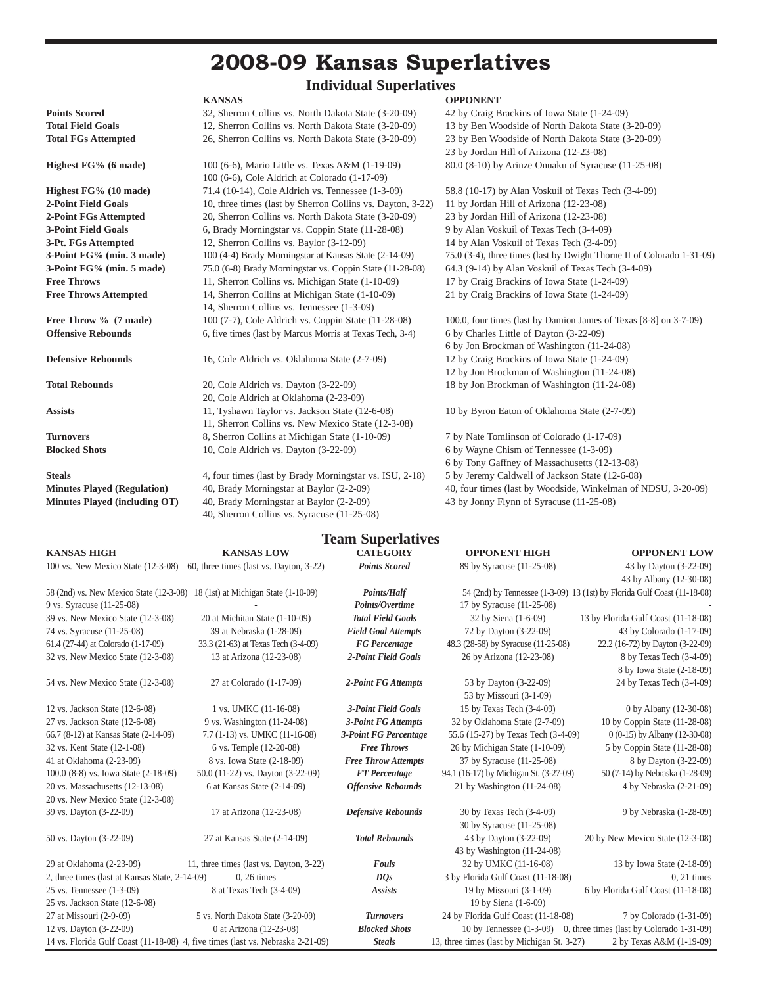## **2008-09 Kansas Superlatives**

# **Individual Superlatives**<br> **KANSAS** OPPONENT

|                            | .                                                    | .                                                 |
|----------------------------|------------------------------------------------------|---------------------------------------------------|
| <b>Points Scored</b>       | 32, Sherron Collins vs. North Dakota State (3-20-09) | 42 by Craig Brackins of Iowa State (1-24-09)      |
| <b>Total Field Goals</b>   | 12, Sherron Collins vs. North Dakota State (3-20-09) | 13 by Ben Woodside of North Dakota State (3)      |
| <b>Total FGs Attempted</b> | 26. Sherron Collins vs. North Dakota State (3-20-09) | 23 by Ben Woodside of North Dakota State (3)      |
|                            |                                                      | $23 \text{ hy Jordan Hill of Arizon (12.23.08) }$ |

 100 (6-6), Cole Aldrich at Colorado (1-17-09) **Highest FG% (10 made)** 71.4 (10-14), Cole Aldrich vs. Tennessee (1-3-09) 58.8 (10-17) by Alan Voskuil of Texas Tech (3-4-09) **2-Point Field Goals** 10, three times (last by Sherron Collins vs. Dayton, 3-22) 11 by Jordan Hill of Arizona (12-23-08) **2-Point FGs Attempted** 20, Sherron Collins vs. North Dakota State (3-20-09) 23 by Jordan Hill of Arizona (12-23-08) **3-Point Field Goals** 6, Brady Morningstar vs. Coppin State (11-28-08) 9 by Alan Voskuil of Texas Tech (3-4-09) **3-Pt. FGs Attempted** 12, Sherron Collins vs. Baylor (3-12-09) 14 by Alan Voskuil of Texas Tech (3-4-09) **3-Point FG% (min. 5 made)** 75.0 (6-8) Brady Morningstar vs. Coppin State (11-28-08) 64.3 (9-14) by Alan Voskuil of Texas Tech (3-4-09) **Free Throws** 11, Sherron Collins vs. Michigan State (1-10-09) 17 by Craig Brackins of Iowa State (1-24-09) **Free Throws Attempted** 14, Sherron Collins at Michigan State (1-10-09) 21 by Craig Brackins of Iowa State (1-24-09) 14, Sherron Collins vs. Tennessee (1-3-09)

**Total Rebounds** 20, Cole Aldrich vs. Dayton (3-22-09) 18 by Jon Brockman of Washington (11-24-08) 20, Cole Aldrich at Oklahoma (2-23-09) **Assists** 11, Tyshawn Taylor vs. Jackson State (12-6-08) 10 by Byron Eaton of Oklahoma State (2-7-09) 11, Sherron Collins vs. New Mexico State (12-3-08) **Turnovers** 8, Sherron Collins at Michigan State (1-10-09) 7 by Nate Tomlinson of Colorado (1-17-09) **Blocked Shots** 10, Cole Aldrich vs. Dayton (3-22-09) 6 by Wayne Chism of Tennessee (1-3-09)

**Steals** 4, four times (last by Brady Morningstar vs. ISU, 2-18) 5 by Jeremy Caldwell of Jackson State (12-6-08) **Minutes Played (including OT)** 40, Brady Morningstar at Baylor (2-2-09) 43 by Jonny Flynn of Syracuse (11-25-08) 40, Sherron Collins vs. Syracuse (11-25-08)

**Total Field Goals** 12, Sherron Collins vs. North Dakota State (3-20-09) 13 by Ben Woodside of North Dakota State (3-20-09) **Total FGs Attempted** 26, Sherron Collins vs. North Dakota State (3-20-09) 23 by Ben Woodside of North Dakota State (3-20-09) 23 by Jordan Hill of Arizona (12-23-08) **Highest FG% (6 made)** 100 (6-6), Mario Little vs. Texas A&M (1-19-09) 80.0 (8-10) by Arinze Onuaku of Syracuse (11-25-08)

**3-Point FG% (min. 3 made)** 100 (4-4) Brady Morningstar at Kansas State (2-14-09) 75.0 (3-4), three times (last by Dwight Thorne II of Colorado 1-31-09)

**Free Throw %** (7 made) 100 (7-7), Cole Aldrich vs. Coppin State (11-28-08) 100.0, four times (last by Damion James of Texas [8-8] on 3-7-09) **Offensive Rebounds** 6, five times (last by Marcus Morris at Texas Tech, 3-4) 6 by Charles Little of Dayton (3-22-09) 6 by Jon Brockman of Washington (11-24-08) **Defensive Rebounds** 16, Cole Aldrich vs. Oklahoma State (2-7-09) 12 by Craig Brackins of Iowa State (1-24-09) 12 by Jon Brockman of Washington (11-24-08)

 6 by Tony Gaffney of Massachusetts (12-13-08) **Minutes Played (Regulation)** 40, Brady Morningstar at Baylor (2-2-09) 40, four times (last by Woodside, Winkelman of NDSU, 3-20-09)

|                                                                              |                                                                                | <b>Team Superlatives</b>   |                                             |                                                                          |
|------------------------------------------------------------------------------|--------------------------------------------------------------------------------|----------------------------|---------------------------------------------|--------------------------------------------------------------------------|
| <b>KANSAS HIGH</b>                                                           | <b>KANSAS LOW</b>                                                              | <b>CATEGORY</b>            | <b>OPPONENT HIGH</b>                        | <b>OPPONENT LOW</b>                                                      |
| 100 vs. New Mexico State (12-3-08)                                           | 60, three times (last vs. Dayton, 3-22)                                        | <b>Points Scored</b>       | 89 by Syracuse (11-25-08)                   | 43 by Dayton (3-22-09)                                                   |
|                                                                              |                                                                                |                            |                                             | 43 by Albany (12-30-08)                                                  |
| 58 (2nd) vs. New Mexico State (12-3-08) 18 (1st) at Michigan State (1-10-09) |                                                                                | <b>Points/Half</b>         |                                             | 54 (2nd) by Tennessee (1-3-09) 13 (1st) by Florida Gulf Coast (11-18-08) |
| 9 vs. Syracuse (11-25-08)                                                    |                                                                                | Points/Overtime            | 17 by Syracuse (11-25-08)                   |                                                                          |
| 39 vs. New Mexico State (12-3-08)                                            | 20 at Michitan State (1-10-09)                                                 | <b>Total Field Goals</b>   | 32 by Siena (1-6-09)                        | 13 by Florida Gulf Coast (11-18-08)                                      |
| 74 vs. Syracuse (11-25-08)                                                   | 39 at Nebraska (1-28-09)                                                       | <b>Field Goal Attempts</b> | 72 by Dayton (3-22-09)                      | 43 by Colorado (1-17-09)                                                 |
| 61.4 (27-44) at Colorado (1-17-09)                                           | 33.3 (21-63) at Texas Tech (3-4-09)                                            | <b>FG</b> Percentage       | 48.3 (28-58) by Syracuse (11-25-08)         | 22.2 (16-72) by Dayton (3-22-09)                                         |
| 32 vs. New Mexico State (12-3-08)                                            | 13 at Arizona (12-23-08)                                                       | 2-Point Field Goals        | 26 by Arizona (12-23-08)                    | 8 by Texas Tech (3-4-09)                                                 |
|                                                                              |                                                                                |                            |                                             | 8 by Iowa State (2-18-09)                                                |
| 54 vs. New Mexico State (12-3-08)                                            | 27 at Colorado (1-17-09)                                                       | 2-Point FG Attempts        | 53 by Dayton (3-22-09)                      | 24 by Texas Tech (3-4-09)                                                |
|                                                                              |                                                                                |                            | 53 by Missouri (3-1-09)                     |                                                                          |
| 12 vs. Jackson State (12-6-08)                                               | 1 vs. UMKC (11-16-08)                                                          | <b>3-Point Field Goals</b> | 15 by Texas Tech (3-4-09)                   | 0 by Albany (12-30-08)                                                   |
| 27 vs. Jackson State (12-6-08)                                               | 9 vs. Washington (11-24-08)                                                    | <b>3-Point FG Attempts</b> | 32 by Oklahoma State (2-7-09)               | 10 by Coppin State (11-28-08)                                            |
| 66.7 (8-12) at Kansas State (2-14-09)                                        | 7.7 (1-13) vs. UMKC (11-16-08)                                                 | 3-Point FG Percentage      | 55.6 (15-27) by Texas Tech (3-4-09)         | 0 (0-15) by Albany (12-30-08)                                            |
| 32 vs. Kent State (12-1-08)                                                  | 6 vs. Temple (12-20-08)                                                        | <b>Free Throws</b>         | 26 by Michigan State (1-10-09)              | 5 by Coppin State (11-28-08)                                             |
| 41 at Oklahoma (2-23-09)                                                     | 8 vs. Iowa State (2-18-09)                                                     | <b>Free Throw Attempts</b> | 37 by Syracuse (11-25-08)                   | 8 by Dayton (3-22-09)                                                    |
| 100.0 (8-8) vs. Iowa State (2-18-09)                                         | 50.0 (11-22) vs. Dayton (3-22-09)                                              | <b>FT</b> Percentage       | 94.1 (16-17) by Michigan St. (3-27-09)      | 50 (7-14) by Nebraska (1-28-09)                                          |
| 20 vs. Massachusetts (12-13-08)                                              | 6 at Kansas State (2-14-09)                                                    | <b>Offensive Rebounds</b>  | 21 by Washington (11-24-08)                 | 4 by Nebraska (2-21-09)                                                  |
| 20 vs. New Mexico State (12-3-08)                                            |                                                                                |                            |                                             |                                                                          |
| 39 vs. Dayton (3-22-09)                                                      | 17 at Arizona (12-23-08)                                                       | <b>Defensive Rebounds</b>  | 30 by Texas Tech (3-4-09)                   | 9 by Nebraska (1-28-09)                                                  |
|                                                                              |                                                                                |                            | 30 by Syracuse (11-25-08)                   |                                                                          |
| 50 vs. Dayton (3-22-09)                                                      | 27 at Kansas State (2-14-09)                                                   | <b>Total Rebounds</b>      | 43 by Dayton (3-22-09)                      | 20 by New Mexico State (12-3-08)                                         |
|                                                                              |                                                                                |                            | 43 by Washington (11-24-08)                 |                                                                          |
| 29 at Oklahoma (2-23-09)                                                     | 11, three times (last vs. Dayton, 3-22)                                        | <b>Fouls</b>               | 32 by UMKC (11-16-08)                       | 13 by Iowa State (2-18-09)                                               |
| 2, three times (last at Kansas State, 2-14-09)                               | $0, 26 \times$                                                                 | DOS                        | 3 by Florida Gulf Coast (11-18-08)          | $0, 21$ times                                                            |
| 25 vs. Tennessee (1-3-09)                                                    | 8 at Texas Tech (3-4-09)                                                       | <b>Assists</b>             | 19 by Missouri (3-1-09)                     | 6 by Florida Gulf Coast (11-18-08)                                       |
| 25 vs. Jackson State (12-6-08)                                               |                                                                                |                            | 19 by Siena (1-6-09)                        |                                                                          |
| 27 at Missouri (2-9-09)                                                      | 5 vs. North Dakota State (3-20-09)                                             | <b>Turnovers</b>           | 24 by Florida Gulf Coast (11-18-08)         | 7 by Colorado (1-31-09)                                                  |
| 12 vs. Dayton (3-22-09)                                                      | 0 at Arizona (12-23-08)                                                        | <b>Blocked Shots</b>       |                                             | 10 by Tennessee (1-3-09) 0, three times (last by Colorado 1-31-09)       |
|                                                                              | 14 vs. Florida Gulf Coast (11-18-08) 4, five times (last vs. Nebraska 2-21-09) | <b>Steals</b>              | 13, three times (last by Michigan St. 3-27) | 2 by Texas A&M (1-19-09)                                                 |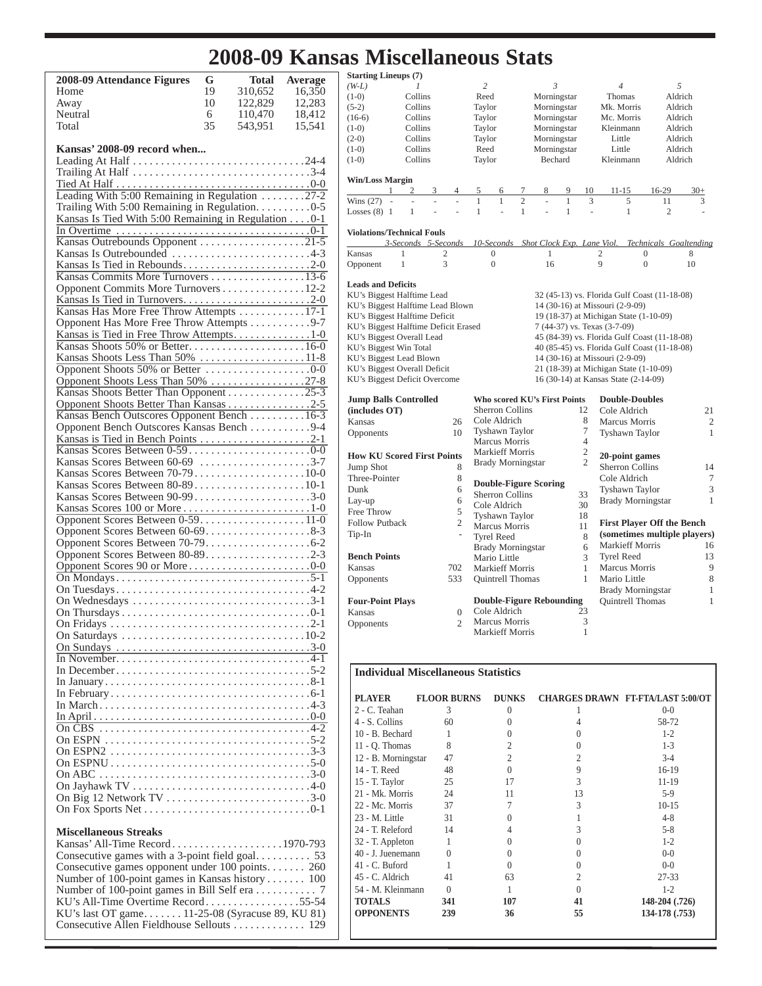# **2008-09 Kansas Miscellaneous Stats**

| 2008-09 Attendance Figures                           | G  | <b>Total</b> | <b>Average</b> |
|------------------------------------------------------|----|--------------|----------------|
| Home                                                 | 19 | 310,652      | 16,350         |
| Away                                                 | 10 | 122,829      | 12,283         |
| Neutral                                              | 6  | 110,470      | 18,412         |
| Total                                                | 35 | 543,951      | 15,541         |
|                                                      |    |              |                |
| Kansas' 2008-09 record when                          |    |              |                |
|                                                      |    |              |                |
|                                                      |    |              |                |
|                                                      |    |              |                |
| Leading With 5:00 Remaining in Regulation 27-2       |    |              |                |
| Trailing With 5:00 Remaining in Regulation. 0-5      |    |              |                |
| Kansas Is Tied With 5:00 Remaining in Regulation 0-1 |    |              |                |
|                                                      |    |              |                |
| Kansas Outrebounds Opponent 21-5                     |    |              |                |
| Kansas Is Outrebounded 4-3                           |    |              |                |
| Kansas Is Tied in Rebounds2-0                        |    |              |                |
| Kansas Commits More Turnovers 13-6                   |    |              |                |
| Opponent Commits More Turnovers 12-2                 |    |              |                |
|                                                      |    |              |                |
|                                                      |    |              |                |
| Kansas Has More Free Throw Attempts 17-1             |    |              |                |
| Opponent Has More Free Throw Attempts 9-7            |    |              |                |
| Kansas is Tied in Free Throw Attempts1-0             |    |              |                |
|                                                      |    |              |                |
| Kansas Shoots Less Than 50% 11-8                     |    |              |                |
|                                                      |    |              |                |
| Opponent Shoots Less Than 50% 27-8                   |    |              |                |
| Kansas Shoots Better Than Opponent 25-3              |    |              |                |
| Opponent Shoots Better Than Kansas 2-5               |    |              |                |
| Kansas Bench Outscores Opponent Bench 16-3           |    |              |                |
| Opponent Bench Outscores Kansas Bench 9-4            |    |              |                |
|                                                      |    |              |                |
|                                                      |    |              |                |
| Kansas Scores Between 60-69 3-7                      |    |              |                |
| Kansas Scores Between 70-7910-0                      |    |              |                |
| Kansas Scores Between 80-8910-1                      |    |              |                |
| Kansas Scores Between 90-993-0                       |    |              |                |
| Kansas Scores 100 or More1-0                         |    |              |                |
| Opponent Scores Between 0-59. 11-0                   |    |              |                |
| Opponent Scores Between 60-698-3                     |    |              |                |
|                                                      |    |              |                |
|                                                      |    |              |                |
|                                                      |    |              |                |
|                                                      |    |              |                |
|                                                      |    |              |                |
|                                                      |    |              |                |
|                                                      |    |              |                |
|                                                      |    |              |                |
| On Saturdays                                         |    |              |                |
|                                                      |    |              |                |
|                                                      |    |              |                |
|                                                      |    |              |                |
|                                                      |    |              |                |
|                                                      |    |              |                |
|                                                      |    |              |                |
|                                                      |    |              |                |
| $\overline{On}$ CBS                                  |    |              |                |
| On ESPN                                              |    |              |                |
| On ESPN2                                             |    |              |                |
|                                                      |    |              |                |
|                                                      |    |              |                |
|                                                      |    |              |                |
| On Big 12 Network TV 3-0                             |    |              |                |
|                                                      |    |              |                |
|                                                      |    |              |                |
| <b>Miscellaneous Streaks</b>                         |    |              |                |

| Consecutive games opponent under 100 points 260   |  |
|---------------------------------------------------|--|
| Number of 100-point games in Kansas history  100  |  |
|                                                   |  |
| KU's All-Time Overtime Record55-54                |  |
| KU's last OT game $11-25-08$ (Syracuse 89, KU 81) |  |
|                                                   |  |
|                                                   |  |

| <b>Starting Lineups (7)</b>                 |                      |                   |                                       |                |              |                |                                              |                        |         |              |
|---------------------------------------------|----------------------|-------------------|---------------------------------------|----------------|--------------|----------------|----------------------------------------------|------------------------|---------|--------------|
| $(W-L)$                                     | 1                    | 2                 |                                       | 3              |              |                | 4                                            |                        | 5       |              |
| $(1-0)$                                     | Collins              | Reed              |                                       | Morningstar    |              |                | Thomas                                       |                        | Aldrich |              |
| $(5-2)$                                     | Collins              | Taylor            |                                       | Morningstar    |              |                | Mk. Morris                                   |                        | Aldrich |              |
| $(16-6)$                                    | Collins              | Taylor            |                                       | Morningstar    |              |                | Mc. Morris                                   |                        | Aldrich |              |
| $(1-0)$                                     | Collins              | Taylor            |                                       | Morningstar    |              |                | Kleinmann                                    |                        | Aldrich |              |
| $(2-0)$                                     | Collins              | Taylor            |                                       | Morningstar    |              |                | Little                                       |                        | Aldrich |              |
| $(1-0)$                                     | Collins              | Reed              |                                       | Morningstar    |              |                | Little                                       |                        | Aldrich |              |
| $(1-0)$                                     | Collins              | Taylor            |                                       | Bechard        |              |                | Kleinmann                                    |                        | Aldrich |              |
| <b>Win/Loss Margin</b>                      |                      |                   |                                       |                |              |                |                                              |                        |         |              |
| $\overline{c}$<br>1                         | 3<br>4               | 5                 | 6<br>$\overline{7}$                   | 8              | 9            | 10             | $11 - 15$                                    | 16-29                  | $30+$   |              |
| Wins (27)<br>$\overline{\phantom{a}}$<br>÷. | $\overline{a}$<br>÷, | $\mathbf{1}$      | $\overline{c}$<br>$\mathbf{1}$        | ÷,             | $\mathbf{1}$ | 3              | 5                                            | 11                     |         | 3            |
| $\mathbf{1}$<br>Losses $(8)$ 1              |                      | $\mathbf{1}$      | $\mathbf{1}$<br>$\overline{a}$        | $\overline{a}$ | $\mathbf{1}$ | ÷,             | $\mathbf{1}$                                 | $\overline{c}$         |         |              |
| <b>Violations/Technical Fouls</b>           |                      |                   |                                       |                |              |                |                                              |                        |         |              |
|                                             | 3-Seconds 5-Seconds  |                   | 10-Seconds Shot Clock Exp. Lane Viol. |                |              |                |                                              | Technicals Goaltending |         |              |
| Kansas<br>1                                 | $\overline{2}$       | $\mathbf{0}$      |                                       | 1              |              |                | $\overline{c}$                               | $\overline{0}$         | 8       |              |
| 1<br>Opponent                               | 3                    | $\mathbf{0}$      |                                       | 16             |              |                | 9                                            | $\boldsymbol{0}$       | 10      |              |
| <b>Leads and Deficits</b>                   |                      |                   |                                       |                |              |                |                                              |                        |         |              |
| KU's Biggest Halftime Lead                  |                      |                   |                                       |                |              |                | 32 (45-13) vs. Florida Gulf Coast (11-18-08) |                        |         |              |
| KU's Biggest Halftime Lead Blown            |                      |                   |                                       |                |              |                | 14 (30-16) at Missouri (2-9-09)              |                        |         |              |
| KU's Biggest Halftime Deficit               |                      |                   |                                       |                |              |                | 19 (18-37) at Michigan State (1-10-09)       |                        |         |              |
| KU's Biggest Halftime Deficit Erased        |                      |                   |                                       |                |              |                | 7 (44-37) vs. Texas (3-7-09)                 |                        |         |              |
| KU's Biggest Overall Lead                   |                      |                   |                                       |                |              |                | 45 (84-39) vs. Florida Gulf Coast (11-18-08) |                        |         |              |
| KU's Biggest Win Total                      |                      |                   |                                       |                |              |                | 40 (85-45) vs. Florida Gulf Coast (11-18-08) |                        |         |              |
| KU's Biggest Lead Blown                     |                      |                   |                                       |                |              |                | 14 (30-16) at Missouri (2-9-09)              |                        |         |              |
| KU's Biggest Overall Deficit                |                      |                   |                                       |                |              |                | 21 (18-39) at Michigan State (1-10-09)       |                        |         |              |
| KU's Biggest Deficit Overcome               |                      |                   |                                       |                |              |                | 16 (30-14) at Kansas State (2-14-09)         |                        |         |              |
| <b>Jump Balls Controlled</b>                |                      |                   | <b>Who scored KU's First Points</b>   |                |              |                | <b>Double-Doubles</b>                        |                        |         |              |
| (includes OT)                               |                      |                   | <b>Sherron Collins</b>                |                |              | 12             | Cole Aldrich                                 |                        |         | 21           |
|                                             |                      |                   | Cole Aldrich                          |                |              | 8              |                                              |                        |         |              |
| Kansas                                      | 26                   |                   | Tyshawn Taylor                        |                |              | 7              | Marcus Morris                                |                        |         | 2            |
| Opponents                                   | 10                   |                   | Marcus Morris                         |                |              | $\overline{4}$ | Tyshawn Taylor                               |                        |         | 1            |
| <b>How KU Scored First Points</b>           |                      |                   | <b>Markieff Morris</b>                |                |              | $\mathfrak{2}$ | 20-point games                               |                        |         |              |
|                                             |                      |                   | <b>Brady Morningstar</b>              |                |              | $\overline{c}$ |                                              |                        |         |              |
| Jump Shot                                   | 8                    |                   |                                       |                |              |                | Sherron Collins                              |                        |         | 14           |
| Three-Pointer                               | 8                    |                   | <b>Double-Figure Scoring</b>          |                |              |                | Cole Aldrich                                 |                        |         | 7            |
| Dunk                                        | 6                    |                   | Sherron Collins                       |                |              | 33             | Tyshawn Taylor                               |                        |         | 3            |
| Lay-up                                      | 6                    |                   | Cole Aldrich                          |                |              | 30             | <b>Brady Morningstar</b>                     |                        |         | $\mathbf{1}$ |
| Free Throw                                  | 5                    |                   | Tyshawn Taylor                        |                |              | 18             |                                              |                        |         |              |
| <b>Follow Putback</b>                       | 2                    |                   | Marcus Morris                         |                |              | 11             | <b>First Player Off the Bench</b>            |                        |         |              |
| Tip-In                                      | $\overline{a}$       | <b>Tyrel Reed</b> |                                       |                |              | 8              | (sometimes multiple players)                 |                        |         |              |
|                                             |                      |                   | <b>Brady Morningstar</b>              |                |              | 6              | Markieff Morris                              |                        |         | 16           |
| <b>Bench Points</b>                         |                      | Mario Little      |                                       |                |              | 3              | <b>Tyrel Reed</b>                            |                        |         | 13           |
| Kansas                                      | 702                  |                   | <b>Markieff Morris</b>                |                |              | $\mathbf{1}$   | <b>Marcus Morris</b>                         |                        |         | 9            |
| Opponents                                   | 533                  |                   | Quintrell Thomas                      |                |              | 1              | Mario Little                                 |                        |         | 8            |
|                                             |                      |                   |                                       |                |              |                | <b>Brady Morningstar</b>                     |                        |         | 1            |
| <b>Four-Point Plays</b>                     |                      |                   | <b>Double-Figure Rebounding</b>       |                |              |                | Quintrell Thomas                             |                        |         | 1            |
| Kansas                                      | $\boldsymbol{0}$     |                   | Cole Aldrich                          |                |              | 23             |                                              |                        |         |              |
| Opponents                                   | $\overline{c}$       |                   | Marcus Morris                         |                |              | 3              |                                              |                        |         |              |
|                                             |                      |                   | <b>Markieff Morris</b>                |                |              | 1              |                                              |                        |         |              |
|                                             |                      |                   |                                       |                |              |                |                                              |                        |         |              |
|                                             |                      |                   |                                       |                |              |                |                                              |                        |         |              |

## **Individual Miscellaneous Statistics**

| PLAYER              | <b>FLOOR BURNS</b> | <b>DUNKS</b>   |                | <b>CHARGES DRAWN FT-FTA/LAST 5:00/OT</b> |
|---------------------|--------------------|----------------|----------------|------------------------------------------|
| 2 - C. Teahan       | 3                  | $\Omega$       |                | $0 - 0$                                  |
| 4 - S. Collins      | 60                 |                | 4              | 58-72                                    |
| 10 - B. Bechard     |                    | 0              | $\Omega$       | $1-2$                                    |
| $11 - Q$ . Thomas   | 8                  | $\overline{c}$ | $\Omega$       | $1 - 3$                                  |
| 12 - B. Morningstar | 47                 | $\overline{c}$ | $\overline{2}$ | $3-4$                                    |
| 14 - T. Reed        | 48                 | $\Omega$       | 9              | $16-19$                                  |
| 15 - T. Taylor      | 25                 | 17             | 3              | $11 - 19$                                |
| 21 - Mk. Morris     | 24                 | 11             | 13             | $5-9$                                    |
| 22 - Mc. Morris     | 37                 |                | 3              | $10 - 15$                                |
| 23 - M. Little      | 31                 | 0              |                | $4 - 8$                                  |
| 24 - T. Releford    | 14                 |                | 3              | $5 - 8$                                  |
| 32 - T. Appleton    | 1                  | 0              | $\Omega$       | $1-2$                                    |
| 40 - J. Juenemann   | $\Omega$           | 0              | $\Omega$       | $0 - 0$                                  |
| 41 - C. Buford      |                    | 0              | $\theta$       | $0 - 0$                                  |
| 45 - C. Aldrich     | 41                 | 63             | $\overline{2}$ | $27 - 33$                                |
| 54 - M. Kleinmann   | $\theta$           |                | $\Omega$       | $1-2$                                    |
| <b>TOTALS</b>       | 341                | 107            | 41             | 148-204 (.726)                           |
| <b>OPPONENTS</b>    | 239                | 36             | 55             | 134-178 (.753)                           |
|                     |                    |                |                |                                          |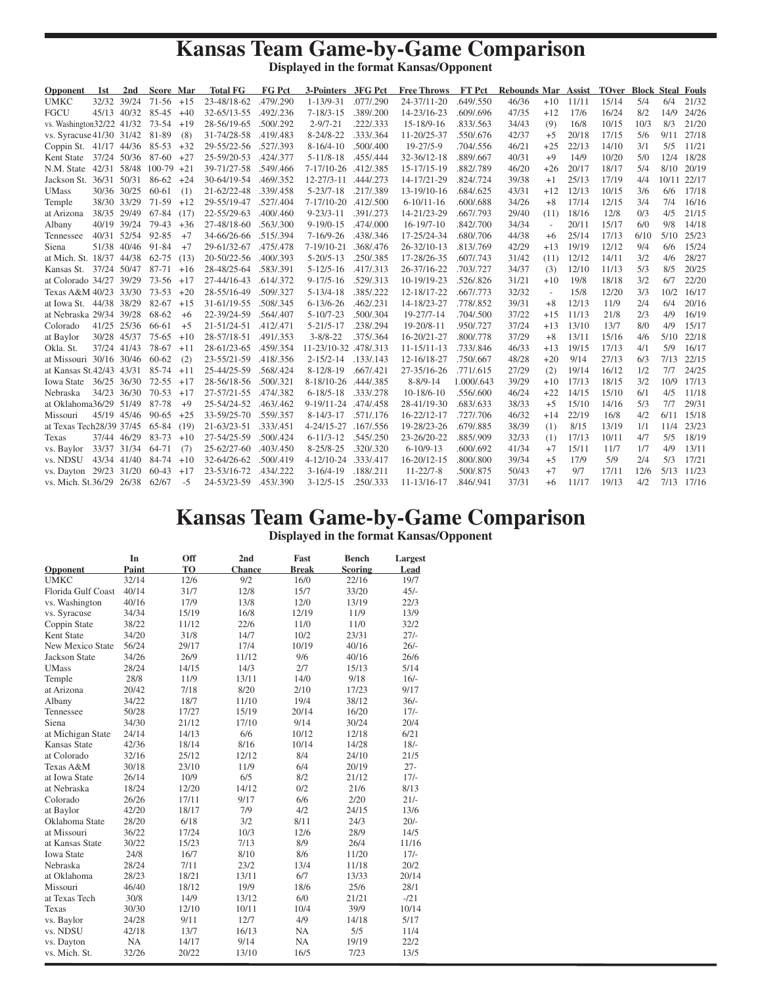## **Kansas Team Game-by-Game Comparison**

**Displayed in the format Kansas/Opponent**

| 32/32 39/24<br><b>UMKC</b><br>$71-56$ +15<br>23-48/18-62<br>.479/.290<br>$1 - 13/9 - 31$<br>.077/.290<br>24-37/11-20<br>.649/.550<br>46/36<br>11/11<br>15/14<br>5/4<br>$+10$<br>6/4<br><b>FGCU</b><br>16/24<br>45/13 40/32<br>85-45<br>32-65/13-55<br>.492/.236<br>$7 - 18/3 - 15$<br>.389/.200<br>14-23/16-23<br>.609/.696<br>47/35<br>$+12$<br>17/6<br>8/2<br>$+40$<br>$2 - 9/7 - 21$<br>16/8<br>vs. Washington32/22 41/32 73-54<br>$+19$<br>28-56/19-65<br>.500/.292<br>.222/.333<br>15-18/9-16<br>.833/.563<br>34/43<br>10/15<br>10/3<br>8/3<br>(9)<br>vs. Syracuse 41/30 31/42 81-89<br>31-74/28-58 .419/.483<br>$8 - 24/8 - 22$<br>.333/.364<br>42/37<br>20/18<br>17/15<br>(8)<br>11-20/25-37<br>.550/.676<br>$+5$<br>5/6<br>9/11<br>29-55/22-56 .527/.393<br>$8-16/4-10$<br>.500/.400<br>$19 - 27/5 - 9$<br>46/21<br>22/13<br>14/10<br>3/1<br>5/5<br>Coppin St. 41/17 44/36 85-53<br>$+32$<br>.704/.556<br>$+25$ | 21/32<br>14/9<br>24/26<br>21/20<br>27/18<br>11/21<br>12/4<br>18/28<br>20/19<br>22/17<br>10/11<br>17/18<br>16/16 |
|-------------------------------------------------------------------------------------------------------------------------------------------------------------------------------------------------------------------------------------------------------------------------------------------------------------------------------------------------------------------------------------------------------------------------------------------------------------------------------------------------------------------------------------------------------------------------------------------------------------------------------------------------------------------------------------------------------------------------------------------------------------------------------------------------------------------------------------------------------------------------------------------------------------------------|-----------------------------------------------------------------------------------------------------------------|
|                                                                                                                                                                                                                                                                                                                                                                                                                                                                                                                                                                                                                                                                                                                                                                                                                                                                                                                         |                                                                                                                 |
|                                                                                                                                                                                                                                                                                                                                                                                                                                                                                                                                                                                                                                                                                                                                                                                                                                                                                                                         |                                                                                                                 |
|                                                                                                                                                                                                                                                                                                                                                                                                                                                                                                                                                                                                                                                                                                                                                                                                                                                                                                                         |                                                                                                                 |
|                                                                                                                                                                                                                                                                                                                                                                                                                                                                                                                                                                                                                                                                                                                                                                                                                                                                                                                         |                                                                                                                 |
|                                                                                                                                                                                                                                                                                                                                                                                                                                                                                                                                                                                                                                                                                                                                                                                                                                                                                                                         |                                                                                                                 |
| 87-60<br>25-59/20-53<br>$5 - 11/8 - 18$<br>40/31<br>$+9$<br>14/9<br>10/20<br>5/0<br>Kent State 37/24 50/36<br>$+27$<br>.424/.377<br>.455/.444<br>32-36/12-18<br>.889/.667                                                                                                                                                                                                                                                                                                                                                                                                                                                                                                                                                                                                                                                                                                                                               |                                                                                                                 |
| 18/17<br>N.M. State 42/31 58/48<br>$100-79$ +21<br>39-71/27-58<br>.549/.466<br>$7-17/10-26$<br>.412/.385<br>15-17/15-19<br>.882/.789<br>46/20<br>20/17<br>5/4<br>8/10<br>$+26$                                                                                                                                                                                                                                                                                                                                                                                                                                                                                                                                                                                                                                                                                                                                          |                                                                                                                 |
| 86-62<br>25/13<br>17/19<br>Jackson St. 36/31 50/31<br>30-64/19-54<br>.469/.352<br>$12 - 27/3 - 11$<br>.444/.273<br>14-17/21-29<br>.824/.724<br>39/38<br>4/4<br>$+24$<br>$+1$                                                                                                                                                                                                                                                                                                                                                                                                                                                                                                                                                                                                                                                                                                                                            |                                                                                                                 |
| 30/36 30/25<br>21-62/22-48<br>$5 - 23/7 - 18$<br>.217/.389<br>43/31<br>12/13<br>$60-61$<br>(1)<br>.339/.458<br>13-19/10-16<br>.684/.625<br>$+12$<br>10/15<br>3/6<br>6/6<br><b>UMass</b>                                                                                                                                                                                                                                                                                                                                                                                                                                                                                                                                                                                                                                                                                                                                 |                                                                                                                 |
| 17/14<br>38/30 33/29<br>71-59<br>29-55/19-47<br>$7-17/10-20$<br>34/26<br>12/15<br>3/4<br>7/4<br>$+12$<br>.527/.404<br>.412/.500<br>$6-10/11-16$<br>.600/.688<br>$+8$<br>Temple                                                                                                                                                                                                                                                                                                                                                                                                                                                                                                                                                                                                                                                                                                                                          |                                                                                                                 |
| 38/35 29/49<br>67-84<br>22-55/29-63<br>$9 - 23/3 - 11$<br>.391/.273<br>14-21/23-29<br>29/40<br>18/16<br>12/8<br>0/3<br>4/5<br>at Arizona<br>(17)<br>.400/.460<br>.667/.793<br>(11)                                                                                                                                                                                                                                                                                                                                                                                                                                                                                                                                                                                                                                                                                                                                      | 21/15                                                                                                           |
| 40/19 39/24<br>79-43<br>27-48/18-60<br>.563/.300<br>$9-19/0-15$<br>.474/.000<br>$16-19/7-10$<br>.842/.700<br>34/34<br>20/11<br>15/17<br>6/0<br>9/8<br>$+36$<br>Albany<br>$\bar{a}$                                                                                                                                                                                                                                                                                                                                                                                                                                                                                                                                                                                                                                                                                                                                      | 14/18                                                                                                           |
| 25/14<br>40/31 52/54<br>92-85<br>34-66/26-66<br>.515/.394<br>$7-16/9-26$<br>.438/.346<br>17-25/24-34<br>.680/.706<br>44/38<br>17/13<br>6/10<br>$+7$<br>$+6$<br>Tennessee                                                                                                                                                                                                                                                                                                                                                                                                                                                                                                                                                                                                                                                                                                                                                | 25/23<br>5/10                                                                                                   |
| $7-19/10-21$<br>42/29<br>19/19<br>12/12<br>9/4<br>51/38 40/46<br>91-84<br>$+7$<br>29-61/32-67<br>.475/.478<br>.368/.476<br>26-32/10-13<br>.813/.769<br>$+13$<br>6/6<br>Siena                                                                                                                                                                                                                                                                                                                                                                                                                                                                                                                                                                                                                                                                                                                                            | 15/24                                                                                                           |
| $5 - 20/5 - 13$<br>17-28/26-35<br>12/12<br>14/11<br>3/2<br>at Mich. St. 18/37 44/38<br>62-75<br>(13)<br>20-50/22-56<br>.400/.393<br>.250/.385<br>.607/.743<br>31/42<br>(11)<br>4/6                                                                                                                                                                                                                                                                                                                                                                                                                                                                                                                                                                                                                                                                                                                                      | 28/27                                                                                                           |
| $5 - 12/5 - 16$<br>26-37/16-22<br>34/37<br>12/10<br>11/13<br>5/3<br>8/5<br>Kansas St. 37/24 50/47<br>87-71<br>28-48/25-64<br>.583/.391<br>.417/.313<br>.703/.727<br>(3)<br>$+16$                                                                                                                                                                                                                                                                                                                                                                                                                                                                                                                                                                                                                                                                                                                                        | 20/25                                                                                                           |
| at Colorado 34/27 39/29<br>$9 - 17/5 - 16$<br>.529/.313<br>10-19/19-23<br>31/21<br>19/8<br>18/18<br>3/2<br>6/7<br>73-56<br>$+17$<br>27-44/16-43<br>.614/.372<br>.526/.826<br>$+10$                                                                                                                                                                                                                                                                                                                                                                                                                                                                                                                                                                                                                                                                                                                                      | 22/20                                                                                                           |
| 32/32<br>Texas A&M 40/23 33/30<br>$73 - 53$<br>$+20$<br>.509/.327<br>$5 - 13/4 - 18$<br>.385/.222<br>12-18/17-22<br>.667/.773<br>15/8<br>12/20<br>3/3<br>28-55/16-49<br>$\bar{a}$                                                                                                                                                                                                                                                                                                                                                                                                                                                                                                                                                                                                                                                                                                                                       | 16/17<br>10/2                                                                                                   |
| 39/31<br>12/13<br>at Iowa St. 44/38 38/29<br>82-67<br>$6 - 13/6 - 26$<br>.462/.231<br>14-18/23-27<br>.778/.852<br>$+8$<br>11/9<br>2/4<br>6/4<br>$+15$<br>31-61/19-55<br>.508/.345                                                                                                                                                                                                                                                                                                                                                                                                                                                                                                                                                                                                                                                                                                                                       | 20/16                                                                                                           |
| 37/22<br>at Nebraska 29/34 39/28<br>68-62<br>22-39/24-59<br>.564/.407<br>$5 - 10/7 - 23$<br>.500/.304<br>19-27/7-14<br>.704/.500<br>11/13<br>21/8<br>2/3<br>4/9<br>$+6$<br>$+15$                                                                                                                                                                                                                                                                                                                                                                                                                                                                                                                                                                                                                                                                                                                                        | 16/19                                                                                                           |
| 37/24<br>41/25 25/36<br>66-61<br>21-51/24-51<br>.412/.471<br>$5 - 21/5 - 17$<br>.238/.294<br>19-20/8-11<br>.950/.727<br>$+13$<br>13/10<br>13/7<br>8/0<br>4/9<br>Colorado<br>$+5$                                                                                                                                                                                                                                                                                                                                                                                                                                                                                                                                                                                                                                                                                                                                        | 15/17                                                                                                           |
| $3 - 8/8 - 22$<br>37/29<br>13/11<br>at Baylor<br>30/28 45/37<br>75-65<br>$+10$<br>28-57/18-51<br>.491/.353<br>.375/.364<br>16-20/21-27<br>.800/.778<br>$+8$<br>15/16<br>4/6                                                                                                                                                                                                                                                                                                                                                                                                                                                                                                                                                                                                                                                                                                                                             | 22/18<br>5/10                                                                                                   |
| Okla. St.<br>78-67<br>28-61/23-65<br>.459/.354<br>11-23/10-32 .478/.313<br>46/33<br>19/15<br>17/13<br>4/1<br>5/9<br>37/24 41/43<br>$+11$<br>$11 - 15/11 - 13$<br>.733/.846<br>$+13$                                                                                                                                                                                                                                                                                                                                                                                                                                                                                                                                                                                                                                                                                                                                     | 16/17                                                                                                           |
| 27/13<br>at Missouri 30/16 30/46<br>23-55/21-59<br>.418/.356<br>.133/.143<br>12-16/18-27<br>48/28<br>$+20$<br>9/14<br>6/3<br>60-62<br>(2)<br>$2 - 15/2 - 14$<br>.750/.667                                                                                                                                                                                                                                                                                                                                                                                                                                                                                                                                                                                                                                                                                                                                               | 7/13<br>22/15                                                                                                   |
| 16/12<br>at Kansas St.42/43 43/31<br>85-74<br>25-44/25-59<br>.568/.424<br>$8-12/8-19$<br>.667/.421<br>27-35/16-26<br>27/29<br>19/14<br>1/2<br>7/7<br>$+11$<br>.771/.615<br>(2)                                                                                                                                                                                                                                                                                                                                                                                                                                                                                                                                                                                                                                                                                                                                          | 24/25                                                                                                           |
| $8 - 8/9 - 14$<br>18/15<br>3/2<br>Iowa State<br>36/25 36/30<br>$72 - 55$<br>28-56/18-56<br>.500/.321<br>$8-18/10-26$<br>.444/.385<br>1.000/.643<br>39/29<br>$+10$<br>17/13<br>$+17$                                                                                                                                                                                                                                                                                                                                                                                                                                                                                                                                                                                                                                                                                                                                     | 10/9<br>17/13                                                                                                   |
| $70 - 53$<br>27-57/21-55<br>$6 - 18/5 - 18$<br>$10-18/6-10$<br>46/24<br>14/15<br>15/10<br>6/1<br>4/5<br>Nebraska<br>34/23<br>36/30<br>$+17$<br>.474/.382<br>.333/.278<br>$+22$<br>.556/.600                                                                                                                                                                                                                                                                                                                                                                                                                                                                                                                                                                                                                                                                                                                             | 11/18                                                                                                           |
| 87-78<br>at Oklahoma36/29 51/49<br>25-54/24-52<br>.463/.462<br>$9-19/11-24$<br>38/33<br>15/10<br>14/16<br>5/3<br>7/7<br>$+9$<br>.474/.458<br>28-41/19-30<br>.683/.633<br>$+5$                                                                                                                                                                                                                                                                                                                                                                                                                                                                                                                                                                                                                                                                                                                                           | 29/31                                                                                                           |
| 22/19<br>4/2<br>45/19 45/46<br>33-59/25-70<br>.559/.357<br>$8 - 14/3 - 17$<br>.571/.176<br>16-22/12-17<br>46/32<br>16/8<br>6/11<br>$90 - 65$<br>$+25$<br>.727/.706<br>$+14$<br>Missouri                                                                                                                                                                                                                                                                                                                                                                                                                                                                                                                                                                                                                                                                                                                                 | 15/18                                                                                                           |
| at Texas Tech28/39 37/45<br>65-84<br>$21 - 63/23 - 51$<br>.333/.451<br>$4 - 24/15 - 27$<br>19-28/23-26<br>38/39<br>8/15<br>13/19<br>1/1<br>11/4<br>(19)<br>.167/.556<br>.679/.885<br>(1)                                                                                                                                                                                                                                                                                                                                                                                                                                                                                                                                                                                                                                                                                                                                | 23/23                                                                                                           |
| 37/44 46/29<br>83-73<br>27-54/25-59<br>.500/.424<br>$6 - 11/3 - 12$<br>.545/.250<br>23-26/20-22<br>.885/.909<br>32/33<br>17/13<br>10/11<br>4/7<br>5/5<br>$+10$<br>Texas<br>(1)                                                                                                                                                                                                                                                                                                                                                                                                                                                                                                                                                                                                                                                                                                                                          | 18/19                                                                                                           |
| $25 - 62/27 - 60$<br>41/34<br>15/11<br>4/9<br>33/37 31/34<br>64-71<br>.403/0.450<br>$8 - 25/8 - 25$<br>.320/.320<br>$6-10/9-13$<br>.600/.692<br>$+7$<br>11/7<br>1/7<br>vs. Baylor<br>(7)                                                                                                                                                                                                                                                                                                                                                                                                                                                                                                                                                                                                                                                                                                                                | 13/11                                                                                                           |
| 32-64/26-62<br>$4 - 12/10 - 24$<br>17/9<br>5/9<br>5/3<br>vs. NDSU<br>43/34 41/40<br>84-74<br>$+10$<br>.500/.419<br>.333/.417<br>16-20/12-15<br>.800/.800<br>39/34<br>$+5$<br>2/4                                                                                                                                                                                                                                                                                                                                                                                                                                                                                                                                                                                                                                                                                                                                        | 17/21                                                                                                           |
| 23-53/16-72<br>9/7<br>vs. Dayton 29/23 31/20<br>60-43<br>.434/.222<br>$3-16/4-19$<br>.188/.211<br>$11 - 22/7 - 8$<br>.500/.875<br>50/43<br>$+7$<br>17/11<br>12/6<br>5/13<br>$+17$                                                                                                                                                                                                                                                                                                                                                                                                                                                                                                                                                                                                                                                                                                                                       | 11/23                                                                                                           |
| 37/31<br>11/17<br>19/13<br>4/2<br>vs. Mich. St.36/29 26/38<br>62/67<br>$-5$<br>24-53/23-59<br>.453/.390<br>$3 - 12/5 - 15$<br>.250/.333<br>11-13/16-17<br>.846/.941<br>$+6$                                                                                                                                                                                                                                                                                                                                                                                                                                                                                                                                                                                                                                                                                                                                             | 7/13 17/16                                                                                                      |

## **Kansas Team Game-by-Game Comparison Displayed in the format Kansas/Opponent**

|                    | In        | Off   | 2nd    | Fast         | <b>Bench</b>   | Largest |
|--------------------|-----------|-------|--------|--------------|----------------|---------|
| Opponent           | Paint     | TO    | Chance | <b>Break</b> | <b>Scoring</b> | Lead    |
| <b>UMKC</b>        | 32/14     | 12/6  | 9/2    | 16/0         | 22/16          | 19/7    |
| Florida Gulf Coast | 40/14     | 31/7  | 12/8   | 15/7         | 33/20          | $45/-$  |
| vs. Washington     | 40/16     | 17/9  | 13/8   | 12/0         | 13/19          | 22/3    |
| vs. Syracuse       | 34/34     | 15/19 | 16/8   | 12/19        | 11/9           | 13/9    |
| Coppin State       | 38/22     | 11/12 | 22/6   | 11/0         | 11/0           | 32/2    |
| Kent State         | 34/20     | 31/8  | 14/7   | 10/2         | 23/31          | $271 -$ |
| New Mexico State   | 56/24     | 29/17 | 17/4   | 10/19        | 40/16          | $26/-$  |
| Jackson State      | 34/26     | 26/9  | 11/12  | 9/6          | 40/16          | 26/6    |
| <b>UMass</b>       | 28/24     | 14/15 | 14/3   | 2/7          | 15/13          | 5/14    |
| Temple             | 28/8      | 11/9  | 13/11  | 14/0         | 9/18           | $16/-$  |
| at Arizona         | 20/42     | 7/18  | 8/20   | 2/10         | 17/23          | 9/17    |
| Albany             | 34/22     | 18/7  | 11/10  | 19/4         | 38/12          | $36/-$  |
| Tennessee          | 50/28     | 17/27 | 15/19  | 20/14        | 16/20          | $17/-$  |
| Siena              | 34/30     | 21/12 | 17/10  | 9/14         | 30/24          | 20/4    |
| at Michigan State  | 24/14     | 14/13 | 6/6    | 10/12        | 12/18          | 6/21    |
| Kansas State       | 42/36     | 18/14 | 8/16   | 10/14        | 14/28          | $18/-$  |
| at Colorado        | 32/16     | 25/12 | 12/12  | 8/4          | 24/10          | 21/5    |
| Texas A&M          | 30/18     | 23/10 | 11/9   | 6/4          | 20/19          | $27 -$  |
| at Iowa State      | 26/14     | 10/9  | 6/5    | 8/2          | 21/12          | $17/-$  |
| at Nebraska        | 18/24     | 12/20 | 14/12  | 0/2          | 21/6           | 8/13    |
| Colorado           | 26/26     | 17/11 | 9/17   | 6/6          | 2/20           | $21/-$  |
| at Baylor          | 42/20     | 18/17 | 7/9    | 4/2          | 24/15          | 13/6    |
| Oklahoma State     | 28/20     | 6/18  | 3/2    | 8/11         | 24/3           | $20/-$  |
| at Missouri        | 36/22     | 17/24 | 10/3   | 12/6         | 28/9           | 14/5    |
| at Kansas State    | 30/22     | 15/23 | 7/13   | 8/9          | 26/4           | 11/16   |
| <b>Iowa State</b>  | 24/8      | 16/7  | 8/10   | 8/6          | 11/20          | $17/-$  |
| Nebraska           | 28/24     | 7/11  | 23/2   | 13/4         | 11/18          | 20/2    |
| at Oklahoma        | 28/23     | 18/21 | 13/11  | 6/7          | 13/33          | 20/14   |
| Missouri           | 46/40     | 18/12 | 19/9   | 18/6         | 25/6           | 28/1    |
| at Texas Tech      | 30/8      | 14/9  | 13/12  | 6/0          | 21/21          | $-121$  |
| Texas              | 30/30     | 12/10 | 10/11  | 10/4         | 39/9           | 10/14   |
| vs. Baylor         | 24/28     | 9/11  | 12/7   | 4/9          | 14/18          | 5/17    |
| vs. NDSU           | 42/18     | 13/7  | 16/13  | <b>NA</b>    | 5/5            | 11/4    |
| vs. Dayton         | <b>NA</b> | 14/17 | 9/14   | NA           | 19/19          | 22/2    |
| vs. Mich. St.      | 32/26     | 20/22 | 13/10  | 16/5         | 7/23           | 13/5    |